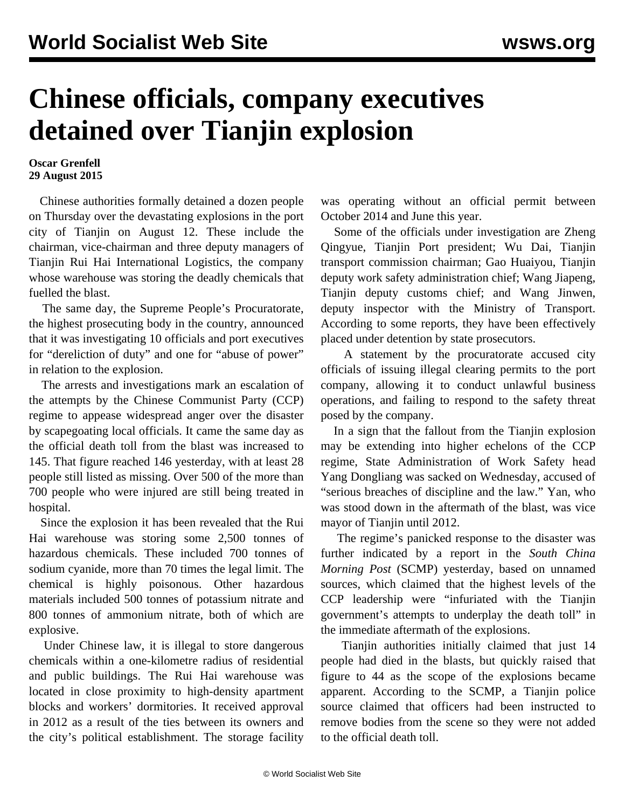## **Chinese officials, company executives detained over Tianjin explosion**

## **Oscar Grenfell 29 August 2015**

 Chinese authorities formally detained a dozen people on Thursday over the devastating explosions in the port city of Tianjin on August 12. These include the chairman, vice-chairman and three deputy managers of Tianjin Rui Hai International Logistics, the company whose warehouse was storing the deadly chemicals that fuelled the blast.

 The same day, the Supreme People's Procuratorate, the highest prosecuting body in the country, announced that it was investigating 10 officials and port executives for "dereliction of duty" and one for "abuse of power" in relation to the explosion.

 The arrests and investigations mark an escalation of the attempts by the Chinese Communist Party (CCP) regime to appease widespread anger over the disaster by scapegoating local officials. It came the same day as the official death toll from the blast was increased to 145. That figure reached 146 yesterday, with at least 28 people still listed as missing. Over 500 of the more than 700 people who were injured are still being treated in hospital.

 Since the explosion it has been revealed that the Rui Hai warehouse was storing some 2,500 tonnes of hazardous chemicals. These included 700 tonnes of sodium cyanide, more than 70 times the legal limit. The chemical is highly poisonous. Other hazardous materials included 500 tonnes of potassium nitrate and 800 tonnes of ammonium nitrate, both of which are explosive.

 Under Chinese law, it is illegal to store dangerous chemicals within a one-kilometre radius of residential and public buildings. The Rui Hai warehouse was located in close proximity to high-density apartment blocks and workers' dormitories. It received approval in 2012 as a result of the ties between its owners and the city's political establishment. The storage facility was operating without an official permit between October 2014 and June this year.

 Some of the officials under investigation are Zheng Qingyue, Tianjin Port president; Wu Dai, Tianjin transport commission chairman; Gao Huaiyou, Tianjin deputy work safety administration chief; Wang Jiapeng, Tianjin deputy customs chief; and Wang Jinwen, deputy inspector with the Ministry of Transport. According to some reports, they have been effectively placed under detention by state prosecutors.

 A statement by the procuratorate accused city officials of issuing illegal clearing permits to the port company, allowing it to conduct unlawful business operations, and failing to respond to the safety threat posed by the company.

 In a sign that the fallout from the Tianjin explosion may be extending into higher echelons of the CCP regime, State Administration of Work Safety head Yang Dongliang was sacked on Wednesday, accused of "serious breaches of discipline and the law." Yan, who was stood down in the aftermath of the blast, was vice mayor of Tianjin until 2012.

 The regime's panicked response to the disaster was further indicated by a report in the *South China Morning Post* (SCMP) yesterday, based on unnamed sources, which claimed that the highest levels of the CCP leadership were "infuriated with the Tianjin government's attempts to underplay the death toll" in the immediate aftermath of the explosions.

 Tianjin authorities initially claimed that just 14 people had died in the blasts, but quickly raised that figure to 44 as the scope of the explosions became apparent. According to the SCMP, a Tianjin police source claimed that officers had been instructed to remove bodies from the scene so they were not added to the official death toll.